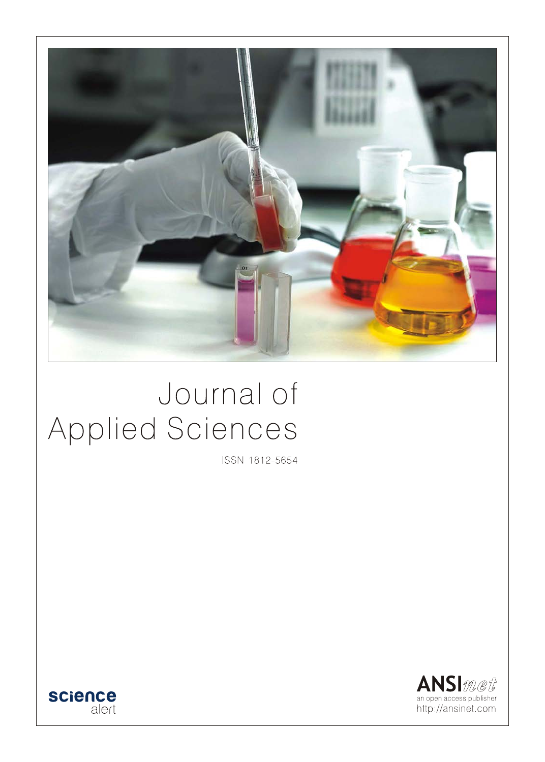

# Journal of Applied Sciences

ISSN 1812-5654



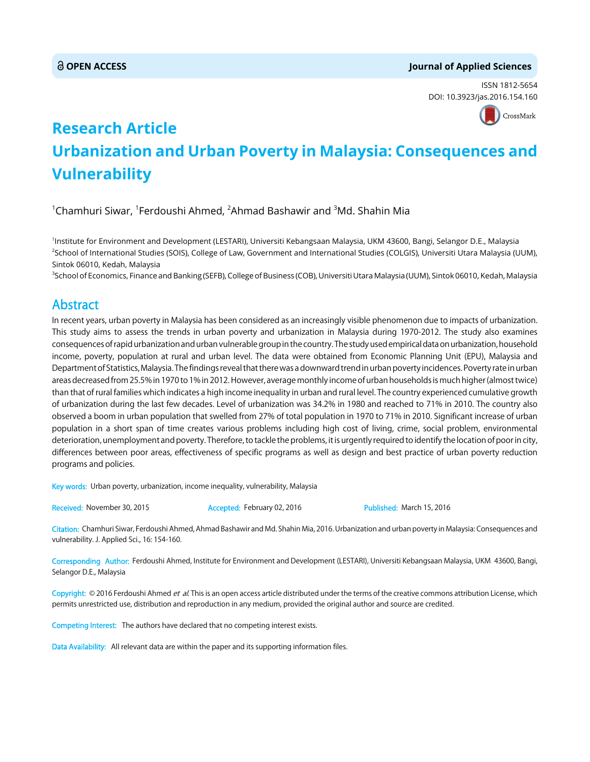### **OPEN ACCESS Journal of Applied Sciences**

ISSN 1812-5654 DOI: 10.3923/jas.2016.154.160



# **Research Article Urbanization and Urban Poverty in Malaysia: Consequences and Vulnerability**

 $^1$ Chamhuri Siwar,  $^1$ Ferdoushi Ahmed,  $^2$ Ahmad Bashawir and  $^3$ Md. Shahin Mia

1 Institute for Environment and Development (LESTARI), Universiti Kebangsaan Malaysia, UKM 43600, Bangi, Selangor D.E., Malaysia <sup>2</sup>School of International Studies (SOIS), College of Law, Government and International Studies (COLGIS), Universiti Utara Malaysia (UUM), Sintok 06010, Kedah, Malaysia

<sup>3</sup>School of Economics, Finance and Banking (SEFB), College of Business (COB), Universiti Utara Malaysia (UUM), Sintok 06010, Kedah, Malaysia

# Abstract

In recent years, urban poverty in Malaysia has been considered as an increasingly visible phenomenon due to impacts of urbanization. This study aims to assess the trends in urban poverty and urbanization in Malaysia during 1970-2012. The study also examines consequences of rapid urbanization and urban vulnerable group in the country. The study used empirical data on urbanization, household income, poverty, population at rural and urban level. The data were obtained from Economic Planning Unit (EPU), Malaysia and Department of Statistics, Malaysia. The findings reveal that there was a downward trend in urban poverty incidences. Poverty rate in urban areas decreased from 25.5% in 1970 to 1% in 2012. However, average monthly income of urban households is much higher (almost twice) than that of rural families which indicates a high income inequality in urban and rural level. The country experienced cumulative growth of urbanization during the last few decades. Level of urbanization was 34.2% in 1980 and reached to 71% in 2010. The country also observed a boom in urban population that swelled from 27% of total population in 1970 to 71% in 2010. Significant increase of urban population in a short span of time creates various problems including high cost of living, crime, social problem, environmental deterioration, unemployment and poverty. Therefore, to tackle the problems, it is urgently required to identify the location of poor in city, differences between poor areas, effectiveness of specific programs as well as design and best practice of urban poverty reduction programs and policies.

Key words: Urban poverty, urbanization, income inequality, vulnerability, Malaysia

Received: November 30, 2015 **Accepted: February 02, 2016** Published: March 15, 2016

Citation: Chamhuri Siwar, Ferdoushi Ahmed, Ahmad Bashawir and Md. Shahin Mia, 2016. Urbanization and urban poverty in Malaysia: Consequences and vulnerability. J. Applied Sci., 16: 154-160.

Corresponding Author: Ferdoushi Ahmed, Institute for Environment and Development (LESTARI), Universiti Kebangsaan Malaysia, UKM 43600, Bangi, Selangor D.E., Malaysia

Copyright: © 2016 Ferdoushi Ahmed et al. This is an open access article distributed under the terms of the creative commons attribution License, which permits unrestricted use, distribution and reproduction in any medium, provided the original author and source are credited.

Competing Interest: The authors have declared that no competing interest exists.

Data Availability: All relevant data are within the paper and its supporting information files.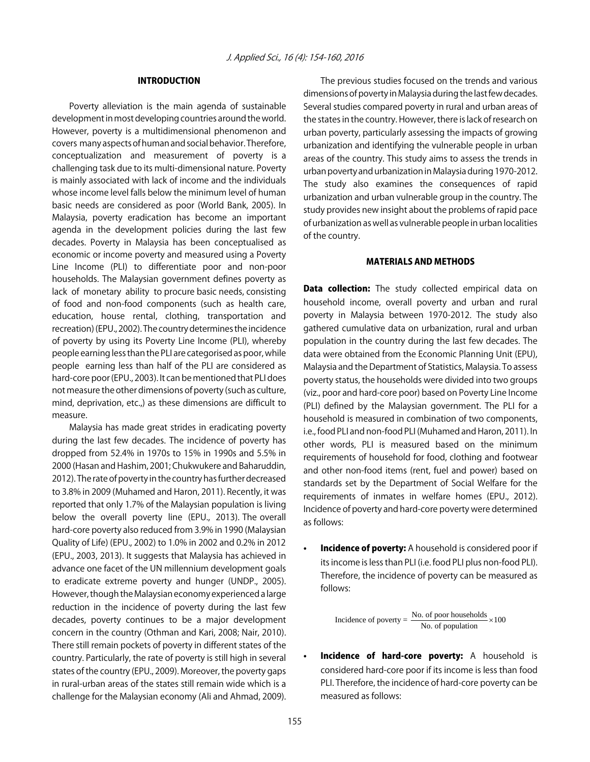## INTRODUCTION

Poverty alleviation is the main agenda of sustainable development in most developing countries around the world. However, poverty is a multidimensional phenomenon and covers many aspects of human and social behavior. Therefore, conceptualization and measurement of poverty is a challenging task due to its multi-dimensional nature. Poverty is mainly associated with lack of income and the individuals whose income level falls below the minimum level of human basic needs are considered as poor (World Bank, 2005). In Malaysia, poverty eradication has become an important agenda in the development policies during the last few decades. Poverty in Malaysia has been conceptualised as economic or income poverty and measured using a Poverty Line Income (PLI) to differentiate poor and non-poor households. The Malaysian government defines poverty as lack of monetary ability to procure basic needs, consisting of food and non-food components (such as health care, education, house rental, clothing, transportation and recreation) (EPU., 2002). The country determines the incidence of poverty by using its Poverty Line Income (PLI), whereby people earning less than the PLI are categorised as poor, while people earning less than half of the PLI are considered as hard-core poor (EPU., 2003). It can be mentioned that PLI does not measure the other dimensions of poverty (such as culture, mind, deprivation, etc.,) as these dimensions are difficult to measure.

Malaysia has made great strides in eradicating poverty during the last few decades. The incidence of poverty has dropped from 52.4% in 1970s to 15% in 1990s and 5.5% in 2000 (Hasan and Hashim, 2001; Chukwukere and Baharuddin, 2012). The rate of poverty in the country has further decreased to 3.8% in 2009 (Muhamed and Haron, 2011). Recently, it was reported that only 1.7% of the Malaysian population is living below the overall poverty line (EPU., 2013). The overall hard-core poverty also reduced from 3.9% in 1990 (Malaysian Quality of Life) (EPU., 2002) to 1.0% in 2002 and 0.2% in 2012 (EPU., 2003, 2013). It suggests that Malaysia has achieved in advance one facet of the UN millennium development goals to eradicate extreme poverty and hunger (UNDP., 2005). However, though the Malaysian economy experienced a large reduction in the incidence of poverty during the last few decades, poverty continues to be a major development concern in the country (Othman and Kari, 2008; Nair, 2010). There still remain pockets of poverty in different states of the country. Particularly, the rate of poverty is still high in several states of the country (EPU., 2009). Moreover, the poverty gaps in rural-urban areas of the states still remain wide which is a challenge for the Malaysian economy (Ali and Ahmad, 2009).

The previous studies focused on the trends and various dimensions of poverty in Malaysia during the last few decades. Several studies compared poverty in rural and urban areas of the states in the country. However, there is lack of research on urban poverty, particularly assessing the impacts of growing urbanization and identifying the vulnerable people in urban areas of the country. This study aims to assess the trends in urban poverty and urbanization in Malaysia during 1970-2012. The study also examines the consequences of rapid urbanization and urban vulnerable group in the country. The study provides new insight about the problems of rapid pace of urbanization as well as vulnerable people in urban localities of the country.

#### MATERIALS AND METHODS

Data collection: The study collected empirical data on household income, overall poverty and urban and rural poverty in Malaysia between 1970-2012. The study also gathered cumulative data on urbanization, rural and urban population in the country during the last few decades. The data were obtained from the Economic Planning Unit (EPU), Malaysia and the Department of Statistics, Malaysia. To assess poverty status, the households were divided into two groups (viz., poor and hard-core poor) based on Poverty Line Income (PLI) defined by the Malaysian government. The PLI for a household is measured in combination of two components, i.e., food PLI and non-food PLI (Muhamed and Haron, 2011). In other words, PLI is measured based on the minimum requirements of household for food, clothing and footwear and other non-food items (rent, fuel and power) based on standards set by the Department of Social Welfare for the requirements of inmates in welfare homes (EPU., 2012). Incidence of poverty and hard-core poverty were determined as follows:

**Incidence of poverty:** A household is considered poor if its income is less than PLI (i.e. food PLI plus non-food PLI). Therefore, the incidence of poverty can be measured as follows:

Incidence of poverty =  $\frac{No. \text{ of poor households}}{No. \text{ of population}} \times 100$ 

Incidence of hard-core poverty: A household is considered hard-core poor if its income is less than food PLI. Therefore, the incidence of hard-core poverty can be measured as follows: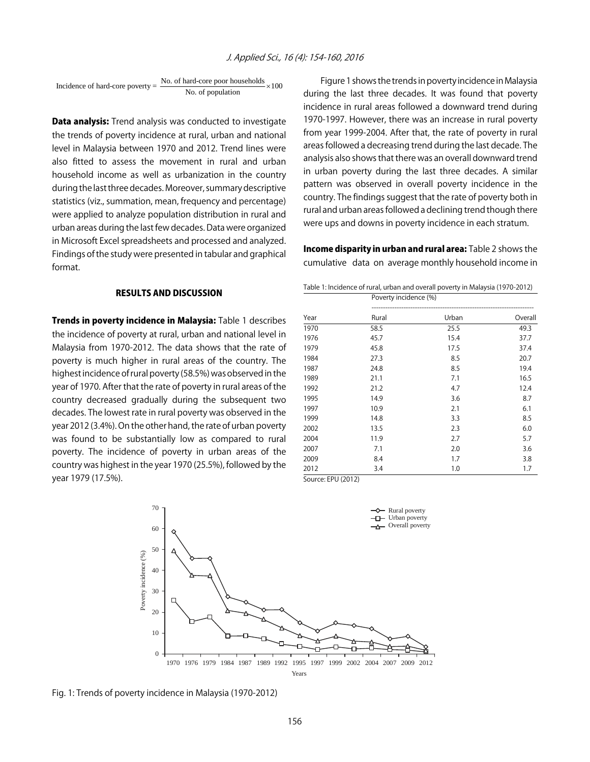Incidence of hard-core poverty =  $\frac{No. \text{ of hard-core poor households}}{No. \text{ of population}} \times 100$ 

**Data analysis:** Trend analysis was conducted to investigate the trends of poverty incidence at rural, urban and national level in Malaysia between 1970 and 2012. Trend lines were also fitted to assess the movement in rural and urban household income as well as urbanization in the country during the last three decades. Moreover, summary descriptive statistics (viz., summation, mean, frequency and percentage) were applied to analyze population distribution in rural and urban areas during the last few decades. Data were organized in Microsoft Excel spreadsheets and processed and analyzed. Findings of the study were presented in tabular and graphical format.

#### RESULTS AND DISCUSSION

Trends in poverty incidence in Malaysia: Table 1 describes the incidence of poverty at rural, urban and national level in Malaysia from 1970-2012. The data shows that the rate of poverty is much higher in rural areas of the country. The highest incidence of rural poverty (58.5%) was observed in the year of 1970. After that the rate of poverty in rural areas of the country decreased gradually during the subsequent two decades. The lowest rate in rural poverty was observed in the year 2012 (3.4%). On the other hand, the rate of urban poverty was found to be substantially low as compared to rural poverty. The incidence of poverty in urban areas of the country was highest in the year 1970 (25.5%), followed by the year 1979 (17.5%).

Figure 1 shows the trends in poverty incidence in Malaysia during the last three decades. It was found that poverty incidence in rural areas followed a downward trend during 1970-1997. However, there was an increase in rural poverty from year 1999-2004. After that, the rate of poverty in rural areas followed a decreasing trend during the last decade. The analysis also shows that there was an overall downward trend in urban poverty during the last three decades. A similar pattern was observed in overall poverty incidence in the country. The findings suggest that the rate of poverty both in rural and urban areas followed a declining trend though there were ups and downs in poverty incidence in each stratum.

Income disparity in urban and rural area: Table 2 shows the cumulative data on average monthly household income in

| Table 1: Incidence of rural, urban and overall poverty in Malaysia (1970-2012) |                       |       |         |  |  |
|--------------------------------------------------------------------------------|-----------------------|-------|---------|--|--|
| Year                                                                           | Poverty incidence (%) |       |         |  |  |
|                                                                                | Rural                 | Urban | Overall |  |  |
| 1970                                                                           | 58.5                  | 25.5  | 49.3    |  |  |
| 1976                                                                           | 45.7                  | 15.4  | 37.7    |  |  |
| 1979                                                                           | 45.8                  | 17.5  | 37.4    |  |  |
| 1984                                                                           | 27.3                  | 8.5   | 20.7    |  |  |
| 1987                                                                           | 24.8                  | 8.5   | 19.4    |  |  |
| 1989                                                                           | 21.1                  | 7.1   | 16.5    |  |  |
| 1992                                                                           | 21.2                  | 4.7   | 12.4    |  |  |
| 1995                                                                           | 14.9                  | 3.6   | 8.7     |  |  |
| 1997                                                                           | 10.9                  | 2.1   | 6.1     |  |  |
| 1999                                                                           | 14.8                  | 3.3   | 8.5     |  |  |
| 2002                                                                           | 13.5                  | 2.3   | 6.0     |  |  |
| 2004                                                                           | 11.9                  | 2.7   | 5.7     |  |  |
| 2007                                                                           | 7.1                   | 2.0   | 3.6     |  |  |
| 2009                                                                           | 8.4                   | 1.7   | 3.8     |  |  |
| 2012                                                                           | 3.4                   | 1.0   | 1.7     |  |  |

Source: EPU (2012)



Fig. 1: Trends of poverty incidence in Malaysia (1970-2012)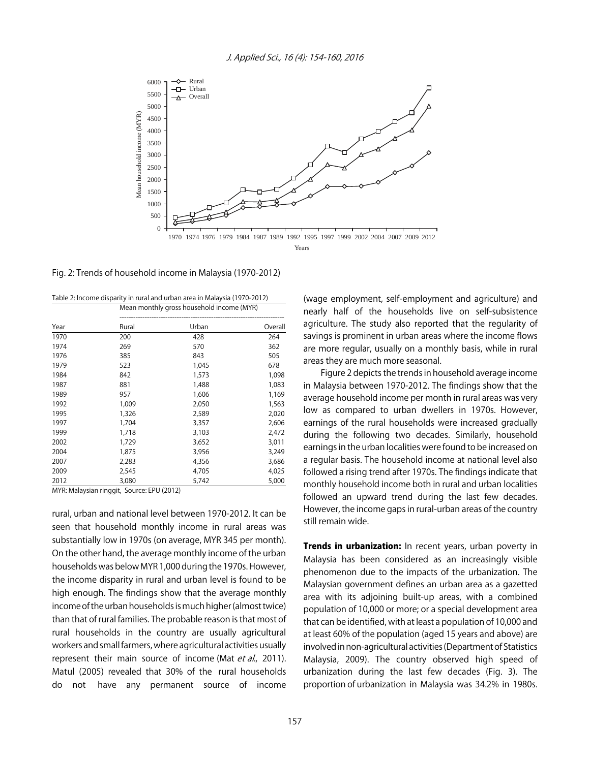

Fig. 2: Trends of household income in Malaysia (1970-2012)

Table 2: Income disparity in rural and urban area in Malaysia (1970-2012) Mean monthly gross household income (MYR)

| Year | Rural | Urban | Overall |  |
|------|-------|-------|---------|--|
| 1970 | 200   | 428   | 264     |  |
| 1974 | 269   | 570   | 362     |  |
| 1976 | 385   | 843   | 505     |  |
| 1979 | 523   | 1,045 | 678     |  |
| 1984 | 842   | 1,573 | 1,098   |  |
| 1987 | 881   | 1,488 | 1,083   |  |
| 1989 | 957   | 1,606 | 1,169   |  |
| 1992 | 1,009 | 2,050 | 1,563   |  |
| 1995 | 1,326 | 2,589 | 2,020   |  |
| 1997 | 1,704 | 3,357 | 2,606   |  |
| 1999 | 1,718 | 3,103 | 2,472   |  |
| 2002 | 1,729 | 3,652 | 3,011   |  |
| 2004 | 1,875 | 3,956 | 3,249   |  |
| 2007 | 2,283 | 4,356 | 3,686   |  |
| 2009 | 2,545 | 4,705 | 4,025   |  |
| 2012 | 3,080 | 5,742 | 5,000   |  |

MYR: Malaysian ringgit, Source: EPU (2012)

rural, urban and national level between 1970-2012. It can be seen that household monthly income in rural areas was substantially low in 1970s (on average, MYR 345 per month). On the other hand, the average monthly income of the urban households was below MYR 1,000 during the 1970s. However, the income disparity in rural and urban level is found to be high enough. The findings show that the average monthly income of the urban households is much higher (almost twice) than that of rural families. The probable reason is that most of rural households in the country are usually agricultural workers and small farmers, where agricultural activities usually represent their main source of income (Mat et al., 2011). Matul (2005) revealed that 30% of the rural households do not have any permanent source of income (wage employment, self-employment and agriculture) and nearly half of the households live on self-subsistence agriculture. The study also reported that the regularity of savings is prominent in urban areas where the income flows are more regular, usually on a monthly basis, while in rural areas they are much more seasonal.

Figure 2 depicts the trends in household average income in Malaysia between 1970-2012. The findings show that the average household income per month in rural areas was very low as compared to urban dwellers in 1970s. However, earnings of the rural households were increased gradually during the following two decades. Similarly, household earnings in the urban localities were found to be increased on a regular basis. The household income at national level also followed a rising trend after 1970s. The findings indicate that monthly household income both in rural and urban localities followed an upward trend during the last few decades. However, the income gaps in rural-urban areas of the country still remain wide.

Trends in urbanization: In recent years, urban poverty in Malaysia has been considered as an increasingly visible phenomenon due to the impacts of the urbanization. The Malaysian government defines an urban area as a gazetted area with its adjoining built-up areas, with a combined population of 10,000 or more; or a special development area that can be identified, with at least a population of 10,000 and at least 60% of the population (aged 15 years and above) are involved in non-agricultural activities (Department of Statistics Malaysia, 2009). The country observed high speed of urbanization during the last few decades (Fig. 3). The proportion of urbanization in Malaysia was 34.2% in 1980s.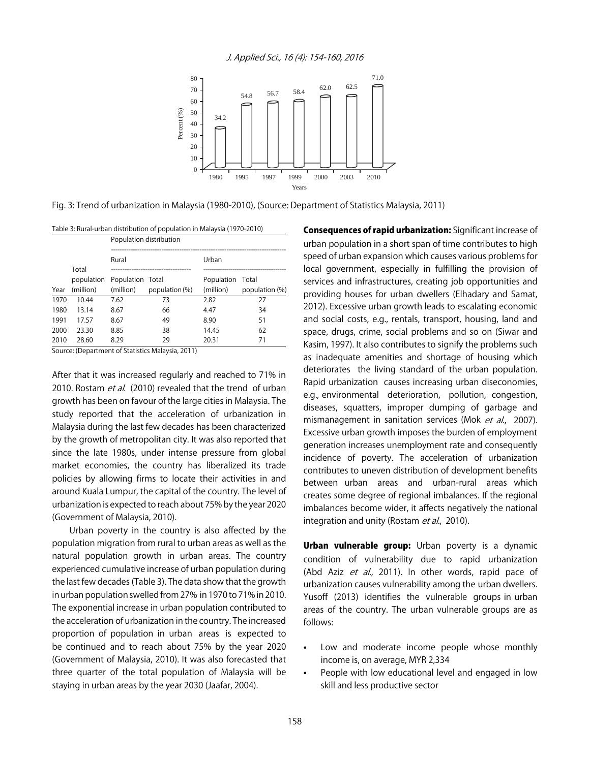

Fig. 3: Trend of urbanization in Malaysia (1980-2010), (Source: Department of Statistics Malaysia, 2011)

Table 3: Rural-urban distribution of population in Malaysia (1970-2010)

|      |           | Population distribution     |                |                  |                |  |
|------|-----------|-----------------------------|----------------|------------------|----------------|--|
|      |           | Rural                       |                | Urban            |                |  |
|      | Total     |                             |                |                  |                |  |
|      |           | population Population Total |                | Population Total |                |  |
| Year | (million) | (million)                   | population (%) | (million)        | population (%) |  |
| 1970 | 10.44     | 7.62                        | 73             | 2.82             | 27             |  |
| 1980 | 13.14     | 8.67                        | 66             | 4.47             | 34             |  |
| 1991 | 17.57     | 8.67                        | 49             | 8.90             | 51             |  |
| 2000 | 23.30     | 8.85                        | 38             | 14.45            | 62             |  |
| 2010 | 28.60     | 8.29                        | 29             | 20.31            |                |  |

Source: (Department of Statistics Malaysia, 2011)

After that it was increased regularly and reached to 71% in 2010. Rostam et al. (2010) revealed that the trend of urban growth has been on favour of the large cities in Malaysia. The study reported that the acceleration of urbanization in Malaysia during the last few decades has been characterized by the growth of metropolitan city. It was also reported that since the late 1980s, under intense pressure from global market economies, the country has liberalized its trade policies by allowing firms to locate their activities in and around Kuala Lumpur, the capital of the country. The level of urbanization is expected to reach about 75% by the year 2020 (Government of Malaysia, 2010).

Urban poverty in the country is also affected by the population migration from rural to urban areas as well as the natural population growth in urban areas. The country experienced cumulative increase of urban population during the last few decades (Table 3). The data show that the growth in urban population swelled from 27% in 1970 to 71% in 2010. The exponential increase in urban population contributed to the acceleration of urbanization in the country. The increased proportion of population in urban areas is expected to be continued and to reach about 75% by the year 2020 (Government of Malaysia, 2010). It was also forecasted that three quarter of the total population of Malaysia will be staying in urban areas by the year 2030 (Jaafar, 2004).

Consequences of rapid urbanization: Significant increase of urban population in a short span of time contributes to high speed of urban expansion which causes various problems for local government, especially in fulfilling the provision of services and infrastructures, creating job opportunities and providing houses for urban dwellers (Elhadary and Samat, 2012). Excessive urban growth leads to escalating economic and social costs, e.g., rentals, transport, housing, land and space, drugs, crime, social problems and so on (Siwar and Kasim, 1997). It also contributes to signify the problems such as inadequate amenities and shortage of housing which deteriorates the living standard of the urban population. Rapid urbanization causes increasing urban diseconomies, e.g., environmental deterioration, pollution, congestion, diseases, squatters, improper dumping of garbage and mismanagement in sanitation services (Mok et al., 2007). Excessive urban growth imposes the burden of employment generation increases unemployment rate and consequently incidence of poverty. The acceleration of urbanization contributes to uneven distribution of development benefits between urban areas and urban-rural areas which creates some degree of regional imbalances. If the regional imbalances become wider, it affects negatively the national integration and unity (Rostam et al., 2010).

Urban vulnerable group: Urban poverty is a dynamic condition of vulnerability due to rapid urbanization (Abd Aziz et al., 2011). In other words, rapid pace of urbanization causes vulnerability among the urban dwellers. Yusoff (2013) identifies the vulnerable groups in urban areas of the country. The urban vulnerable groups are as follows:

- Low and moderate income people whose monthly income is, on average, MYR 2,334
- People with low educational level and engaged in low skill and less productive sector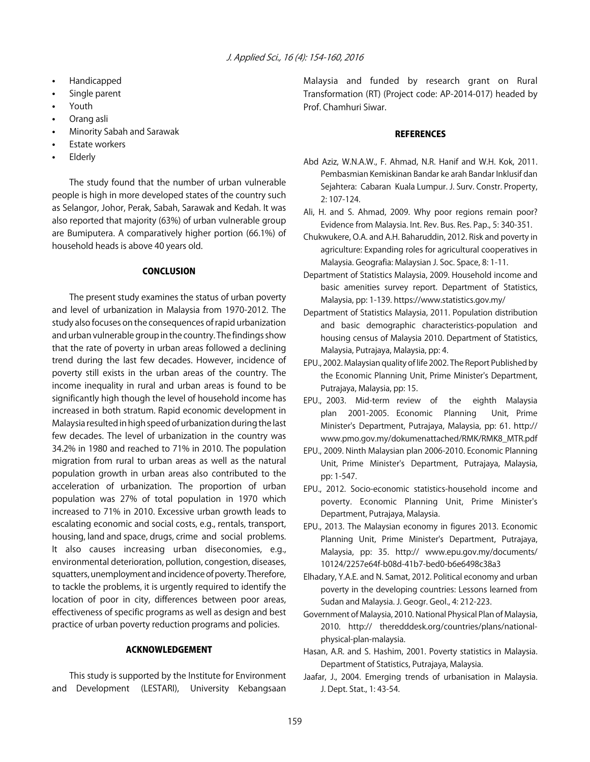- Handicapped
- Single parent
- Youth
- Orang asli
- Minority Sabah and Sarawak
- Estate workers
- **Elderly**

The study found that the number of urban vulnerable people is high in more developed states of the country such as Selangor, Johor, Perak, Sabah, Sarawak and Kedah. It was also reported that majority (63%) of urban vulnerable group are Bumiputera. A comparatively higher portion (66.1%) of household heads is above 40 years old.

#### **CONCLUSION**

The present study examines the status of urban poverty and level of urbanization in Malaysia from 1970-2012. The study also focuses on the consequences of rapid urbanization and urban vulnerable group in the country. The findings show that the rate of poverty in urban areas followed a declining trend during the last few decades. However, incidence of poverty still exists in the urban areas of the country. The income inequality in rural and urban areas is found to be significantly high though the level of household income has increased in both stratum. Rapid economic development in Malaysia resulted in high speed of urbanization during the last few decades. The level of urbanization in the country was 34.2% in 1980 and reached to 71% in 2010. The population migration from rural to urban areas as well as the natural population growth in urban areas also contributed to the acceleration of urbanization. The proportion of urban population was 27% of total population in 1970 which increased to 71% in 2010. Excessive urban growth leads to escalating economic and social costs, e.g., rentals, transport, housing, land and space, drugs, crime and social problems. It also causes increasing urban diseconomies, e.g., environmental deterioration, pollution, congestion, diseases, squatters, unemployment and incidence of poverty. Therefore, to tackle the problems, it is urgently required to identify the location of poor in city, differences between poor areas, effectiveness of specific programs as well as design and best practice of urban poverty reduction programs and policies.

#### ACKNOWLEDGEMENT

This study is supported by the Institute for Environment and Development (LESTARI), University Kebangsaan

Malaysia and funded by research grant on Rural Transformation (RT) (Project code: AP-2014-017) headed by Prof. Chamhuri Siwar.

#### **REFERENCES**

- Abd Aziz, W.N.A.W., F. Ahmad, N.R. Hanif and W.H. Kok, 2011. Pembasmian Kemiskinan Bandar ke arah Bandar Inklusif dan Sejahtera: Cabaran Kuala Lumpur. J. Surv. Constr. Property, 2: 107-124.
- Ali, H. and S. Ahmad, 2009. Why poor regions remain poor? Evidence from Malaysia. Int. Rev. Bus. Res. Pap., 5: 340-351.
- Chukwukere, O.A. and A.H. Baharuddin, 2012. Risk and poverty in agriculture: Expanding roles for agricultural cooperatives in Malaysia. Geografia: Malaysian J. Soc. Space, 8: 1-11.
- Department of Statistics Malaysia, 2009. Household income and basic amenities survey report. Department of Statistics, Malaysia, pp: 1-139. https://www.statistics.gov.my/
- Department of Statistics Malaysia, 2011. Population distribution and basic demographic characteristics-population and housing census of Malaysia 2010. Department of Statistics, Malaysia, Putrajaya, Malaysia, pp: 4.
- EPU., 2002. Malaysian quality of life 2002. The Report Published by the Economic Planning Unit, Prime Minister's Department, Putrajaya, Malaysia, pp: 15.
- EPU., 2003. Mid-term review of the eighth Malaysia plan 2001-2005. Economic Planning Unit, Prime Minister's Department, Putrajaya, Malaysia, pp: 61. http:// www.pmo.gov.my/dokumenattached/RMK/RMK8\_MTR.pdf
- EPU., 2009. Ninth Malaysian plan 2006-2010. Economic Planning Unit, Prime Minister's Department, Putrajaya, Malaysia, pp: 1-547.
- EPU., 2012. Socio-economic statistics-household income and poverty. Economic Planning Unit, Prime Minister's Department, Putrajaya, Malaysia.
- EPU., 2013. The Malaysian economy in figures 2013. Economic Planning Unit, Prime Minister's Department, Putrajaya, Malaysia, pp: 35. http:// www.epu.gov.my/documents/ 10124/2257e64f-b08d-41b7-bed0-b6e6498c38a3
- Elhadary, Y.A.E. and N. Samat, 2012. Political economy and urban poverty in the developing countries: Lessons learned from Sudan and Malaysia. J. Geogr. Geol., 4: 212-223.
- Government of Malaysia, 2010. National Physical Plan of Malaysia, 2010. http:// theredddesk.org/countries/plans/nationalphysical-plan-malaysia.
- Hasan, A.R. and S. Hashim, 2001. Poverty statistics in Malaysia. Department of Statistics, Putrajaya, Malaysia.
- Jaafar, J., 2004. Emerging trends of urbanisation in Malaysia. J. Dept. Stat., 1: 43-54.